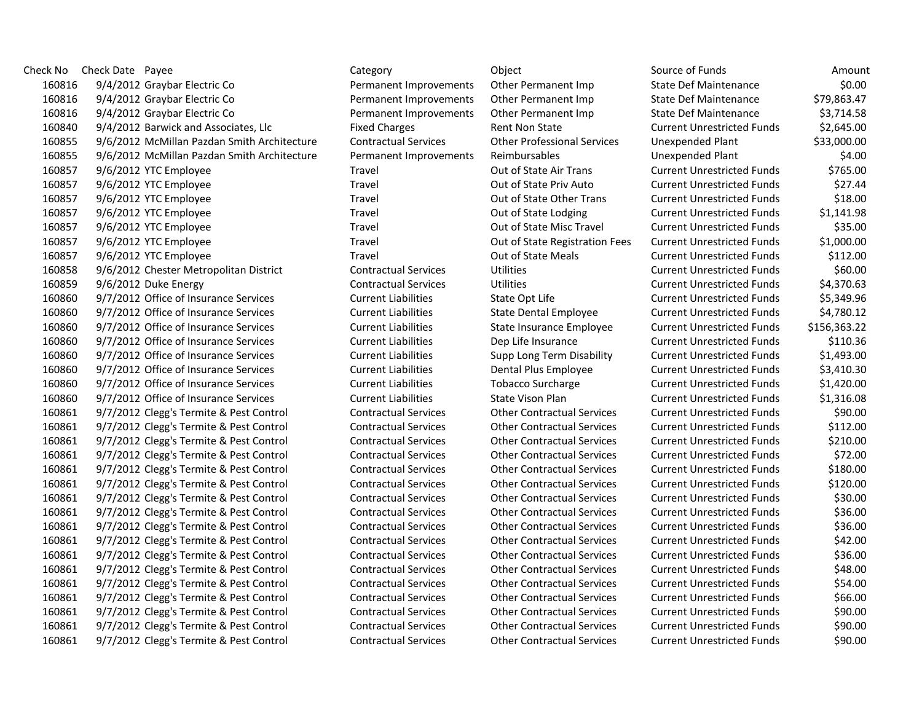| Check No | Check Date Payee                            | Category                    | Object                             | Source of Funds                   | Amount       |
|----------|---------------------------------------------|-----------------------------|------------------------------------|-----------------------------------|--------------|
| 160816   | 9/4/2012 Graybar Electric Co                | Permanent Improvements      | Other Permanent Imp                | <b>State Def Maintenance</b>      | \$0.00       |
| 160816   | 9/4/2012 Graybar Electric Co                | Permanent Improvements      | Other Permanent Imp                | <b>State Def Maintenance</b>      | \$79,863.47  |
| 160816   | 9/4/2012 Graybar Electric Co                | Permanent Improvements      | Other Permanent Imp                | <b>State Def Maintenance</b>      | \$3,714.58   |
| 160840   | 9/4/2012 Barwick and Associates, Llc        | <b>Fixed Charges</b>        | Rent Non State                     | <b>Current Unrestricted Funds</b> | \$2,645.00   |
| 160855   | 9/6/2012 McMillan Pazdan Smith Architecture | <b>Contractual Services</b> | <b>Other Professional Services</b> | <b>Unexpended Plant</b>           | \$33,000.00  |
| 160855   | 9/6/2012 McMillan Pazdan Smith Architecture | Permanent Improvements      | <b>Reimbursables</b>               | <b>Unexpended Plant</b>           | \$4.00       |
| 160857   | 9/6/2012 YTC Employee                       | Travel                      | Out of State Air Trans             | <b>Current Unrestricted Funds</b> | \$765.00     |
| 160857   | 9/6/2012 YTC Employee                       | Travel                      | Out of State Priv Auto             | <b>Current Unrestricted Funds</b> | \$27.44      |
| 160857   | 9/6/2012 YTC Employee                       | Travel                      | Out of State Other Trans           | <b>Current Unrestricted Funds</b> | \$18.00      |
| 160857   | 9/6/2012 YTC Employee                       | Travel                      | Out of State Lodging               | <b>Current Unrestricted Funds</b> | \$1,141.98   |
| 160857   | 9/6/2012 YTC Employee                       | Travel                      | Out of State Misc Travel           | <b>Current Unrestricted Funds</b> | \$35.00      |
| 160857   | 9/6/2012 YTC Employee                       | Travel                      | Out of State Registration Fees     | <b>Current Unrestricted Funds</b> | \$1,000.00   |
| 160857   | 9/6/2012 YTC Employee                       | Travel                      | Out of State Meals                 | <b>Current Unrestricted Funds</b> | \$112.00     |
| 160858   | 9/6/2012 Chester Metropolitan District      | <b>Contractual Services</b> | <b>Utilities</b>                   | <b>Current Unrestricted Funds</b> | \$60.00      |
| 160859   | 9/6/2012 Duke Energy                        | <b>Contractual Services</b> | <b>Utilities</b>                   | <b>Current Unrestricted Funds</b> | \$4,370.63   |
| 160860   | 9/7/2012 Office of Insurance Services       | <b>Current Liabilities</b>  | State Opt Life                     | <b>Current Unrestricted Funds</b> | \$5,349.96   |
| 160860   | 9/7/2012 Office of Insurance Services       | <b>Current Liabilities</b>  | <b>State Dental Employee</b>       | <b>Current Unrestricted Funds</b> | \$4,780.12   |
| 160860   | 9/7/2012 Office of Insurance Services       | <b>Current Liabilities</b>  | State Insurance Employee           | <b>Current Unrestricted Funds</b> | \$156,363.22 |
| 160860   | 9/7/2012 Office of Insurance Services       | <b>Current Liabilities</b>  | Dep Life Insurance                 | <b>Current Unrestricted Funds</b> | \$110.36     |
| 160860   | 9/7/2012 Office of Insurance Services       | <b>Current Liabilities</b>  | Supp Long Term Disability          | <b>Current Unrestricted Funds</b> | \$1,493.00   |
| 160860   | 9/7/2012 Office of Insurance Services       | <b>Current Liabilities</b>  | Dental Plus Employee               | <b>Current Unrestricted Funds</b> | \$3,410.30   |
| 160860   | 9/7/2012 Office of Insurance Services       | <b>Current Liabilities</b>  | <b>Tobacco Surcharge</b>           | <b>Current Unrestricted Funds</b> | \$1,420.00   |
| 160860   | 9/7/2012 Office of Insurance Services       | <b>Current Liabilities</b>  | State Vison Plan                   | <b>Current Unrestricted Funds</b> | \$1,316.08   |
| 160861   | 9/7/2012 Clegg's Termite & Pest Control     | <b>Contractual Services</b> | <b>Other Contractual Services</b>  | <b>Current Unrestricted Funds</b> | \$90.00      |
| 160861   | 9/7/2012 Clegg's Termite & Pest Control     | <b>Contractual Services</b> | <b>Other Contractual Services</b>  | <b>Current Unrestricted Funds</b> | \$112.00     |
| 160861   | 9/7/2012 Clegg's Termite & Pest Control     | <b>Contractual Services</b> | <b>Other Contractual Services</b>  | <b>Current Unrestricted Funds</b> | \$210.00     |
| 160861   | 9/7/2012 Clegg's Termite & Pest Control     | <b>Contractual Services</b> | <b>Other Contractual Services</b>  | <b>Current Unrestricted Funds</b> | \$72.00      |
| 160861   | 9/7/2012 Clegg's Termite & Pest Control     | <b>Contractual Services</b> | <b>Other Contractual Services</b>  | <b>Current Unrestricted Funds</b> | \$180.00     |
| 160861   | 9/7/2012 Clegg's Termite & Pest Control     | <b>Contractual Services</b> | <b>Other Contractual Services</b>  | <b>Current Unrestricted Funds</b> | \$120.00     |
| 160861   | 9/7/2012 Clegg's Termite & Pest Control     | <b>Contractual Services</b> | <b>Other Contractual Services</b>  | <b>Current Unrestricted Funds</b> | \$30.00      |
| 160861   | 9/7/2012 Clegg's Termite & Pest Control     | <b>Contractual Services</b> | <b>Other Contractual Services</b>  | <b>Current Unrestricted Funds</b> | \$36.00      |
| 160861   | 9/7/2012 Clegg's Termite & Pest Control     | <b>Contractual Services</b> | <b>Other Contractual Services</b>  | <b>Current Unrestricted Funds</b> | \$36.00      |
| 160861   | 9/7/2012 Clegg's Termite & Pest Control     | <b>Contractual Services</b> | <b>Other Contractual Services</b>  | <b>Current Unrestricted Funds</b> | \$42.00      |
| 160861   | 9/7/2012 Clegg's Termite & Pest Control     | <b>Contractual Services</b> | <b>Other Contractual Services</b>  | <b>Current Unrestricted Funds</b> | \$36.00      |
| 160861   | 9/7/2012 Clegg's Termite & Pest Control     | <b>Contractual Services</b> | <b>Other Contractual Services</b>  | <b>Current Unrestricted Funds</b> | \$48.00      |
| 160861   | 9/7/2012 Clegg's Termite & Pest Control     | <b>Contractual Services</b> | <b>Other Contractual Services</b>  | <b>Current Unrestricted Funds</b> | \$54.00      |
| 160861   | 9/7/2012 Clegg's Termite & Pest Control     | <b>Contractual Services</b> | <b>Other Contractual Services</b>  | <b>Current Unrestricted Funds</b> | \$66.00      |
| 160861   | 9/7/2012 Clegg's Termite & Pest Control     | <b>Contractual Services</b> | <b>Other Contractual Services</b>  | <b>Current Unrestricted Funds</b> | \$90.00      |
| 160861   | 9/7/2012 Clegg's Termite & Pest Control     | <b>Contractual Services</b> | <b>Other Contractual Services</b>  | <b>Current Unrestricted Funds</b> | \$90.00      |
| 160861   | 9/7/2012 Clegg's Termite & Pest Control     | <b>Contractual Services</b> | <b>Other Contractual Services</b>  | <b>Current Unrestricted Funds</b> | \$90.00      |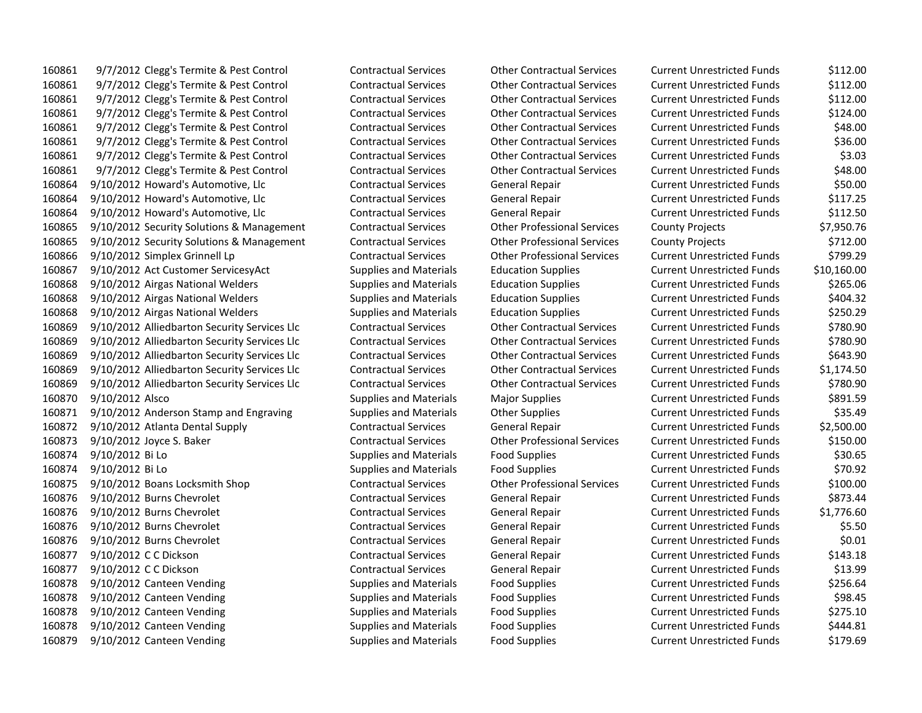9/7/2012 Clegg's Termite & Pest Control Contractual Services Other Contractual Services Current Unrestricted Funds \$112.00 9/7/2012 Clegg's Termite & Pest Control Contractual Services Other Contractual Services Current Unrestricted Funds \$112.00 9/7/2012 Clegg's Termite & Pest Control Contractual Services Other Contractual Services Current Unrestricted Funds \$112.00 9/7/2012 Clegg's Termite & Pest Control Contractual Services Other Contractual Services Current Unrestricted Funds \$124.00 9/7/2012 Clegg's Termite & Pest Control Contractual Services Other Contractual Services Current Unrestricted Funds \$48.00 9/7/2012 Clegg's Termite & Pest Control Contractual Services Other Contractual Services Current Unrestricted Funds \$36.00 9/7/2012 Clegg's Termite & Pest Control Contractual Services Other Contractual Services Current Unrestricted Funds \$3.03 9/7/2012 Clegg's Termite & Pest Control Contractual Services Other Contractual Services Current Unrestricted Funds \$48.00 9/10/2012 Howard's Automotive, Llc Contractual Services General Repair Current Unrestricted Funds \$50.00 9/10/2012 Howard's Automotive, Llc Contractual Services General Repair Current Unrestricted Funds \$117.25 9/10/2012 Howard's Automotive, Llc Contractual Services General Repair Current Unrestricted Funds \$112.50 9/10/2012 Security Solutions & Management Contractual Services Other Professional Services County Projects \$7,950.76 9/10/2012 Security Solutions & Management Contractual Services Other Professional Services County Projects \$712.00 9/10/2012 Simplex Grinnell Lp Contractual Services Other Professional Services Current Unrestricted Funds \$799.29 9/10/2012 Act Customer ServicesyAct Supplies and Materials Education Supplies Current Unrestricted Funds \$10,160.00 9/10/2012 Airgas National Welders Supplies and Materials Education Supplies Current Unrestricted Funds \$265.06 9/10/2012 Airgas National Welders Supplies and Materials Education Supplies Current Unrestricted Funds \$404.32 9/10/2012 Airgas National Welders Supplies and Materials Education Supplies Current Unrestricted Funds \$250.29 9/10/2012 Alliedbarton Security Services Llc Contractual Services Other Contractual Services Current Unrestricted Funds \$780.90 9/10/2012 Alliedbarton Security Services Llc Contractual Services Other Contractual Services Current Unrestricted Funds \$780.90 9/10/2012 Alliedbarton Security Services Llc Contractual Services Other Contractual Services Current Unrestricted Funds \$643.90 9/10/2012 Alliedbarton Security Services Llc Contractual Services Other Contractual Services Current Unrestricted Funds \$1,174.50 9/10/2012 Alliedbarton Security Services Llc Contractual Services Other Contractual Services Current Unrestricted Funds \$780.90 9/10/2012 Alsco Supplies and Materials Major Supplies Current Unrestricted Funds \$891.59 160871 9/10/2012 Anderson Stamp and Engraving Supplies and Materials Other Supplies Current Unrestricted Funds \$35.49 9/10/2012 Atlanta Dental Supply Contractual Services General Repair Current Unrestricted Funds \$2,500.00 9/10/2012 Joyce S. Baker Contractual Services Other Professional Services Current Unrestricted Funds \$150.00 9/10/2012 Bi Lo Supplies and Materials Food Supplies Current Unrestricted Funds \$30.65 9/10/2012 Bi Lo Supplies and Materials Food Supplies Current Unrestricted Funds \$70.92 9/10/2012 Boans Locksmith Shop Contractual Services Other Professional Services Current Unrestricted Funds \$100.00 9/10/2012 Burns Chevrolet Contractual Services General Repair Current Unrestricted Funds \$873.44 9/10/2012 Burns Chevrolet Contractual Services General Repair Current Unrestricted Funds \$1,776.60 9/10/2012 Burns Chevrolet Contractual Services General Repair Current Unrestricted Funds \$5.50 9/10/2012 Burns Chevrolet Contractual Services General Repair Current Unrestricted Funds \$0.01 9/10/2012 C C Dickson Contractual Services General Repair Current Unrestricted Funds \$143.18 9/10/2012 C C Dickson Contractual Services General Repair Current Unrestricted Funds \$13.99 160878 9/10/2012 Canteen Vending Supplies and Materials Food Supplies Current Unrestricted Funds \$256.64 160878 9/10/2012 Canteen Vending Supplies and Materials Food Supplies Current Unrestricted Funds 598.45 9/10/2012 Canteen Vending Supplies and Materials Food Supplies Current Unrestricted Funds \$275.10 160878 9/10/2012 Canteen Vending Supplies and Materials Food Supplies Current Unrestricted Funds \$444.81 9/10/2012 Canteen Vending Supplies and Materials Food Supplies Current Unrestricted Funds \$179.69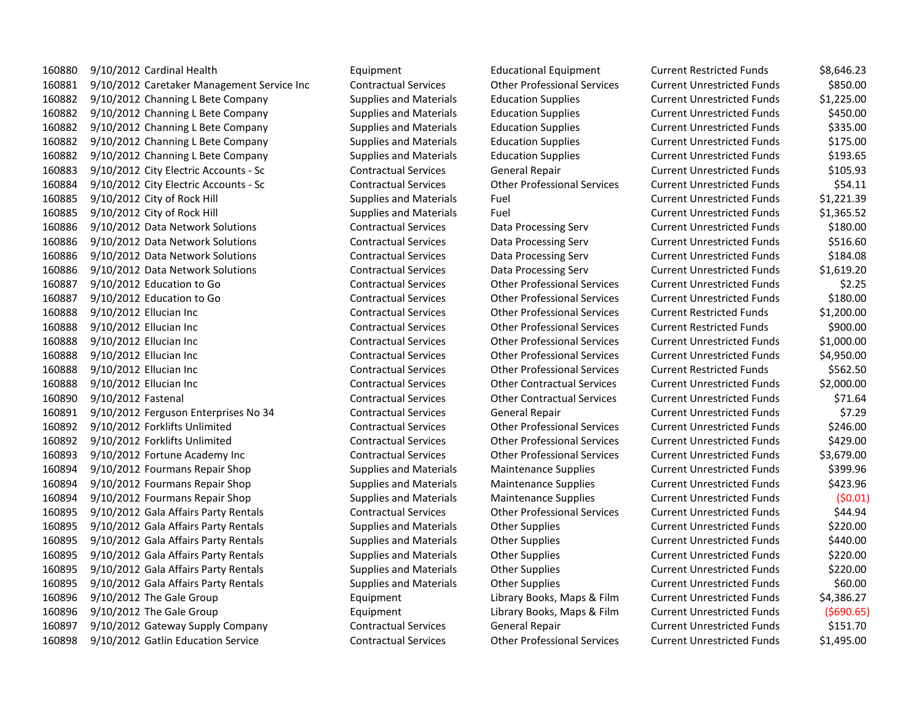9/10/2012 Cardinal Health Equipment Educational Equipment Current Restricted Funds \$8,646.23 9/10/2012 Caretaker Management Service Inc Contractual Services Other Professional Services Current Unrestricted Funds \$850.00 9/10/2012 Channing L Bete Company Supplies and Materials Education Supplies Current Unrestricted Funds \$1,225.00 9/10/2012 Channing L Bete Company Supplies and Materials Education Supplies Current Unrestricted Funds \$450.00 9/10/2012 Channing L Bete Company Supplies and Materials Education Supplies Current Unrestricted Funds \$335.00 9/10/2012 Channing L Bete Company Supplies and Materials Education Supplies Current Unrestricted Funds \$175.00 9/10/2012 Channing L Bete Company Supplies and Materials Education Supplies Current Unrestricted Funds \$193.65 9/10/2012 City Electric Accounts - Sc Contractual Services General Repair Current Unrestricted Funds \$105.93 9/10/2012 City Electric Accounts - Sc Contractual Services Other Professional Services Current Unrestricted Funds \$54.11 9/10/2012 City of Rock Hill Supplies and Materials Fuel Current Unrestricted Funds \$1,221.39 9/10/2012 City of Rock Hill Supplies and Materials Fuel Current Unrestricted Funds \$1,365.52 9/10/2012 Data Network Solutions Contractual Services Data Processing Serv Current Unrestricted Funds \$180.00 9/10/2012 Data Network Solutions Contractual Services Data Processing Serv Current Unrestricted Funds \$516.60 9/10/2012 Data Network Solutions Contractual Services Data Processing Serv Current Unrestricted Funds \$184.08 9/10/2012 Data Network Solutions Contractual Services Data Processing Serv Current Unrestricted Funds \$1,619.20 9/10/2012 Education to Go Contractual Services Other Professional Services Current Unrestricted Funds \$2.25 9/10/2012 Education to Go Contractual Services Other Professional Services Current Unrestricted Funds \$180.00 9/10/2012 Ellucian Inc Contractual Services Other Professional Services Current Restricted Funds \$1,200.00 9/10/2012 Ellucian Inc Contractual Services Other Professional Services Current Restricted Funds \$900.00 9/10/2012 Ellucian Inc Contractual Services Other Professional Services Current Unrestricted Funds \$1,000.00 9/10/2012 Ellucian Inc Contractual Services Other Professional Services Current Unrestricted Funds \$4,950.00 9/10/2012 Ellucian Inc Contractual Services Other Professional Services Current Restricted Funds \$562.50 9/10/2012 Ellucian Inc Contractual Services Other Contractual Services Current Unrestricted Funds \$2,000.00 9/10/2012 Fastenal Contractual Services Other Contractual Services Current Unrestricted Funds \$71.64 9/10/2012 Ferguson Enterprises No 34 Contractual Services General Repair Current Unrestricted Funds \$7.29 9/10/2012 Forklifts Unlimited Contractual Services Other Professional Services Current Unrestricted Funds \$246.00 9/10/2012 Forklifts Unlimited Contractual Services Other Professional Services Current Unrestricted Funds \$429.00 9/10/2012 Fortune Academy Inc Contractual Services Other Professional Services Current Unrestricted Funds \$3,679.00 9/10/2012 Fourmans Repair Shop Supplies and Materials Maintenance Supplies Current Unrestricted Funds \$399.96 9/10/2012 Fourmans Repair Shop Supplies and Materials Maintenance Supplies Current Unrestricted Funds \$423.96 9/10/2012 Fourmans Repair Shop Supplies and Materials Maintenance Supplies Current Unrestricted Funds (\$0.01) 9/10/2012 Gala Affairs Party Rentals Contractual Services Other Professional Services Current Unrestricted Funds \$44.94 9/10/2012 Gala Affairs Party Rentals Supplies and Materials Other Supplies Current Unrestricted Funds \$220.00 9/10/2012 Gala Affairs Party Rentals Supplies and Materials Other Supplies Current Unrestricted Funds \$440.00 9/10/2012 Gala Affairs Party Rentals Supplies and Materials Other Supplies Current Unrestricted Funds \$220.00 9/10/2012 Gala Affairs Party Rentals Supplies and Materials Other Supplies Current Unrestricted Funds \$220.00 9/10/2012 Gala Affairs Party Rentals Supplies and Materials Other Supplies Current Unrestricted Funds \$60.00 9/10/2012 The Gale Group Equipment Library Books, Maps & Film Current Unrestricted Funds \$4,386.27 9/10/2012 The Gale Group Equipment Library Books, Maps & Film Current Unrestricted Funds (\$690.65) 9/10/2012 Gateway Supply Company Contractual Services General Repair Current Unrestricted Funds \$151.70 9/10/2012 Gatlin Education Service Contractual Services Other Professional Services Current Unrestricted Funds \$1,495.00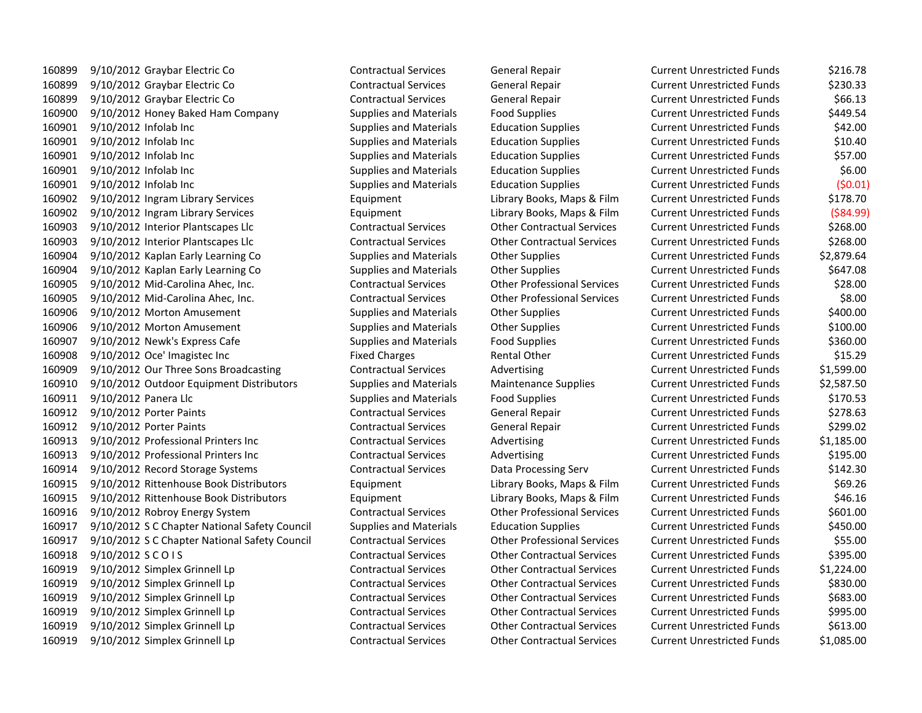9/10/2012 Graybar Electric Co Contractual Services General Repair Current Unrestricted Funds \$216.78 9/10/2012 Graybar Electric Co Contractual Services General Repair Current Unrestricted Funds \$230.33 9/10/2012 Graybar Electric Co Contractual Services General Repair Current Unrestricted Funds \$66.13 9/10/2012 Honey Baked Ham Company Supplies and Materials Food Supplies Current Unrestricted Funds \$449.54 9/10/2012 Infolab Inc Supplies and Materials Education Supplies Current Unrestricted Funds \$42.00 9/10/2012 Infolab Inc Supplies and Materials Education Supplies Current Unrestricted Funds \$10.40 9/10/2012 Infolab Inc Supplies and Materials Education Supplies Current Unrestricted Funds \$57.00 9/10/2012 Infolab Inc Supplies and Materials Education Supplies Current Unrestricted Funds \$6.00 9/10/2012 Infolab Inc Supplies and Materials Education Supplies Current Unrestricted Funds (\$0.01) 9/10/2012 Ingram Library Services Equipment Library Books, Maps & Film Current Unrestricted Funds \$178.70 9/10/2012 Ingram Library Services Equipment Library Books, Maps & Film Current Unrestricted Funds (\$84.99) 9/10/2012 Interior Plantscapes Llc Contractual Services Other Contractual Services Current Unrestricted Funds \$268.00 9/10/2012 Interior Plantscapes Llc Contractual Services Other Contractual Services Current Unrestricted Funds \$268.00 9/10/2012 Kaplan Early Learning Co Supplies and Materials Other Supplies Current Unrestricted Funds \$2,879.64 9/10/2012 Kaplan Early Learning Co Supplies and Materials Other Supplies Current Unrestricted Funds \$647.08 9/10/2012 Mid-Carolina Ahec, Inc. Contractual Services Other Professional Services Current Unrestricted Funds \$28.00 9/10/2012 Mid-Carolina Ahec, Inc. Contractual Services Other Professional Services Current Unrestricted Funds \$8.00 9/10/2012 Morton Amusement Supplies and Materials Other Supplies Current Unrestricted Funds \$400.00 9/10/2012 Morton Amusement Supplies and Materials Other Supplies Current Unrestricted Funds \$100.00 9/10/2012 Newk's Express Cafe Supplies and Materials Food Supplies Current Unrestricted Funds \$360.00 9/10/2012 Oce' Imagistec Inc Fixed Charges Rental Other Current Unrestricted Funds \$15.29 9/10/2012 Our Three Sons Broadcasting Contractual Services Advertising Current Unrestricted Funds \$1,599.00 9/10/2012 Outdoor Equipment Distributors Supplies and Materials Maintenance Supplies Current Unrestricted Funds \$2,587.50 9/10/2012 Panera Llc Supplies and Materials Food Supplies Current Unrestricted Funds \$170.53 9/10/2012 Porter Paints Contractual Services General Repair Current Unrestricted Funds \$278.63 9/10/2012 Porter Paints Contractual Services General Repair Current Unrestricted Funds \$299.02 9/10/2012 Professional Printers Inc Contractual Services Advertising Current Unrestricted Funds \$1,185.00 9/10/2012 Professional Printers Inc Contractual Services Advertising Current Unrestricted Funds \$195.00 9/10/2012 Record Storage Systems Contractual Services Data Processing Serv Current Unrestricted Funds \$142.30 9/10/2012 Rittenhouse Book Distributors Equipment Library Books, Maps & Film Current Unrestricted Funds \$69.26 9/10/2012 Rittenhouse Book Distributors Equipment Library Books, Maps & Film Current Unrestricted Funds \$46.16 9/10/2012 Robroy Energy System Contractual Services Other Professional Services Current Unrestricted Funds \$601.00 9/10/2012 S C Chapter National Safety Council Supplies and Materials Education Supplies Current Unrestricted Funds \$450.00 9/10/2012 S C Chapter National Safety Council Contractual Services Other Professional Services Current Unrestricted Funds \$55.00 9/10/2012 S C O I S Contractual Services Other Contractual Services Current Unrestricted Funds \$395.00 9/10/2012 Simplex Grinnell Lp Contractual Services Other Contractual Services Current Unrestricted Funds \$1,224.00 9/10/2012 Simplex Grinnell Lp Contractual Services Other Contractual Services Current Unrestricted Funds \$830.00 9/10/2012 Simplex Grinnell Lp Contractual Services Other Contractual Services Current Unrestricted Funds \$683.00 9/10/2012 Simplex Grinnell Lp Contractual Services Other Contractual Services Current Unrestricted Funds \$995.00 9/10/2012 Simplex Grinnell Lp Contractual Services Other Contractual Services Current Unrestricted Funds \$613.00 9/10/2012 Simplex Grinnell Lp Contractual Services Other Contractual Services Current Unrestricted Funds \$1,085.00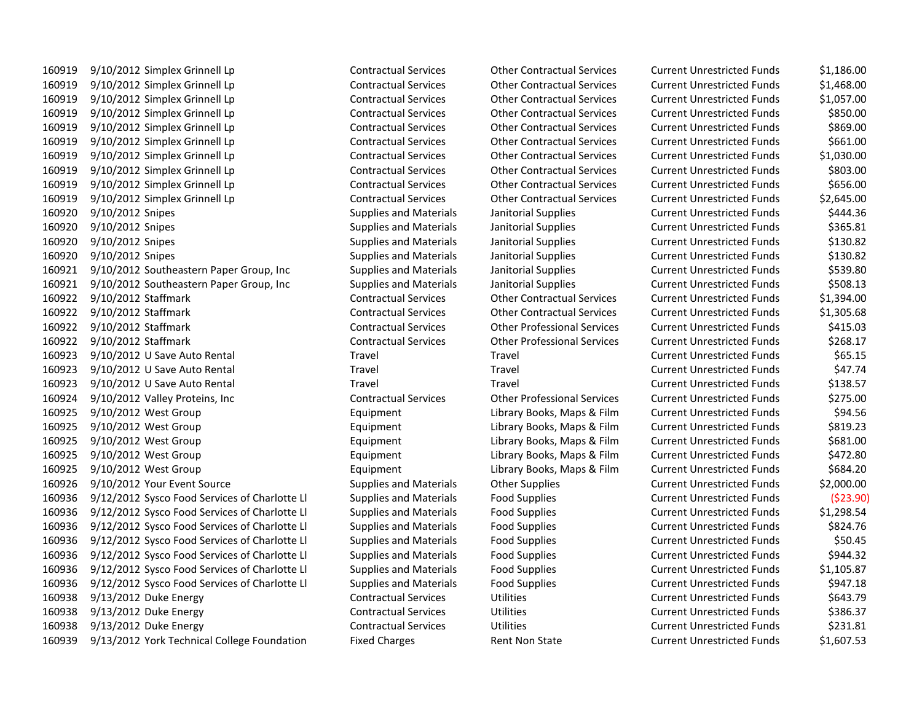9/10/2012 Simplex Grinnell Lp Contractual Services Other Contractual Services Current Unrestricted Funds \$1,186.00 9/10/2012 Simplex Grinnell Lp Contractual Services Other Contractual Services Current Unrestricted Funds \$1,468.00 9/10/2012 Simplex Grinnell Lp Contractual Services Other Contractual Services Current Unrestricted Funds \$1,057.00 9/10/2012 Simplex Grinnell Lp Contractual Services Other Contractual Services Current Unrestricted Funds \$850.00 9/10/2012 Simplex Grinnell Lp Contractual Services Other Contractual Services Current Unrestricted Funds \$869.00 9/10/2012 Simplex Grinnell Lp Contractual Services Other Contractual Services Current Unrestricted Funds \$661.00 9/10/2012 Simplex Grinnell Lp Contractual Services Other Contractual Services Current Unrestricted Funds \$1,030.00 9/10/2012 Simplex Grinnell Lp Contractual Services Other Contractual Services Current Unrestricted Funds \$803.00 9/10/2012 Simplex Grinnell Lp Contractual Services Other Contractual Services Current Unrestricted Funds \$656.00 9/10/2012 Simplex Grinnell Lp Contractual Services Other Contractual Services Current Unrestricted Funds \$2,645.00 9/10/2012 Snipes Supplies and Materials Janitorial Supplies Current Unrestricted Funds \$444.36 9/10/2012 Snipes Supplies and Materials Janitorial Supplies Current Unrestricted Funds \$365.81 9/10/2012 Snipes Supplies and Materials Janitorial Supplies Current Unrestricted Funds \$130.82 9/10/2012 Snipes Supplies and Materials Janitorial Supplies Current Unrestricted Funds \$130.82 9/10/2012 Southeastern Paper Group, Inc Supplies and Materials Janitorial Supplies Current Unrestricted Funds \$539.80 9/10/2012 Southeastern Paper Group, Inc Supplies and Materials Janitorial Supplies Current Unrestricted Funds \$508.13 9/10/2012 Staffmark Contractual Services Other Contractual Services Current Unrestricted Funds \$1,394.00 9/10/2012 Staffmark Contractual Services Other Contractual Services Current Unrestricted Funds \$1,305.68 9/10/2012 Staffmark Contractual Services Other Professional Services Current Unrestricted Funds \$415.03 9/10/2012 Staffmark Contractual Services Other Professional Services Current Unrestricted Funds \$268.17 9/10/2012 U Save Auto Rental Travel Travel Current Unrestricted Funds \$65.15 9/10/2012 U Save Auto Rental Travel Travel Current Unrestricted Funds \$47.74 9/10/2012 U Save Auto Rental Travel Travel Current Unrestricted Funds \$138.57 9/10/2012 Valley Proteins, Inc Contractual Services Other Professional Services Current Unrestricted Funds \$275.00 9/10/2012 West Group Equipment Library Books, Maps & Film Current Unrestricted Funds \$94.56 9/10/2012 West Group Equipment Library Books, Maps & Film Current Unrestricted Funds \$819.23 9/10/2012 West Group Equipment Library Books, Maps & Film Current Unrestricted Funds \$681.00 9/10/2012 West Group Equipment Library Books, Maps & Film Current Unrestricted Funds \$472.80 9/10/2012 West Group Equipment Library Books, Maps & Film Current Unrestricted Funds \$684.20 9/10/2012 Your Event Source Supplies and Materials Other Supplies Current Unrestricted Funds \$2,000.00 9/12/2012 Sysco Food Services of Charlotte Ll Supplies and Materials Food Supplies Current Unrestricted Funds (\$23.90) 9/12/2012 Sysco Food Services of Charlotte Ll Supplies and Materials Food Supplies Current Unrestricted Funds \$1,298.54 9/12/2012 Sysco Food Services of Charlotte Ll Supplies and Materials Food Supplies Current Unrestricted Funds \$824.76 9/12/2012 Sysco Food Services of Charlotte Ll Supplies and Materials Food Supplies Current Unrestricted Funds \$50.45 9/12/2012 Sysco Food Services of Charlotte Ll Supplies and Materials Food Supplies Current Unrestricted Funds \$944.32 9/12/2012 Sysco Food Services of Charlotte Ll Supplies and Materials Food Supplies Current Unrestricted Funds \$1,105.87 9/12/2012 Sysco Food Services of Charlotte Ll Supplies and Materials Food Supplies Current Unrestricted Funds \$947.18 9/13/2012 Duke Energy Contractual Services Utilities Current Unrestricted Funds \$643.79 9/13/2012 Duke Energy Contractual Services Utilities Current Unrestricted Funds \$386.37 9/13/2012 Duke Energy Contractual Services Utilities Current Unrestricted Funds \$231.81 9/13/2012 York Technical College Foundation Fixed Charges Rent Non State Current Unrestricted Funds \$1,607.53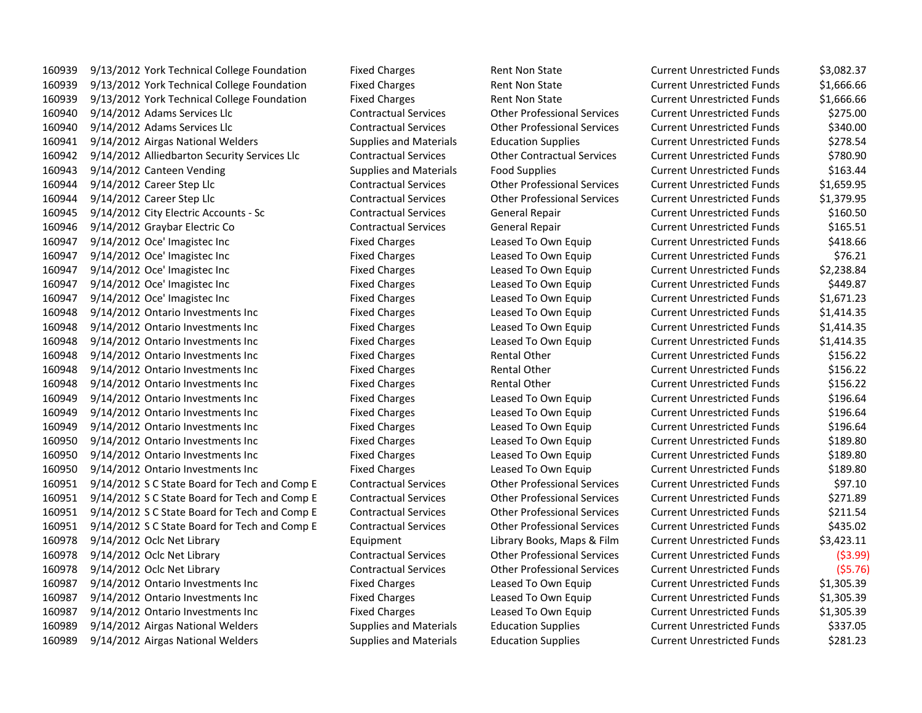9/13/2012 York Technical College Foundation Fixed Charges Rent Non State Current Unrestricted Funds \$3,082.37 9/13/2012 York Technical College Foundation Fixed Charges Rent Non State Current Unrestricted Funds \$1,666.66 9/13/2012 York Technical College Foundation Fixed Charges Rent Non State Current Unrestricted Funds \$1,666.66 9/14/2012 Adams Services Llc Contractual Services Other Professional Services Current Unrestricted Funds \$275.00 9/14/2012 Adams Services Llc Contractual Services Other Professional Services Current Unrestricted Funds \$340.00 9/14/2012 Airgas National Welders Supplies and Materials Education Supplies Current Unrestricted Funds \$278.54 9/14/2012 Alliedbarton Security Services Llc Contractual Services Other Contractual Services Current Unrestricted Funds \$780.90 9/14/2012 Canteen Vending Supplies and Materials Food Supplies Current Unrestricted Funds \$163.44 9/14/2012 Career Step Llc Contractual Services Other Professional Services Current Unrestricted Funds \$1,659.95 9/14/2012 Career Step Llc Contractual Services Other Professional Services Current Unrestricted Funds \$1,379.95 9/14/2012 City Electric Accounts - Sc Contractual Services General Repair Current Unrestricted Funds \$160.50 9/14/2012 Graybar Electric Co Contractual Services General Repair Current Unrestricted Funds \$165.51 9/14/2012 Oce' Imagistec Inc Fixed Charges Leased To Own Equip Current Unrestricted Funds \$418.66 9/14/2012 Oce' Imagistec Inc Fixed Charges Leased To Own Equip Current Unrestricted Funds \$76.21 9/14/2012 Oce' Imagistec Inc Fixed Charges Leased To Own Equip Current Unrestricted Funds \$2,238.84 9/14/2012 Oce' Imagistec Inc Fixed Charges Leased To Own Equip Current Unrestricted Funds \$449.87 9/14/2012 Oce' Imagistec Inc Fixed Charges Leased To Own Equip Current Unrestricted Funds \$1,671.23 9/14/2012 Ontario Investments Inc Fixed Charges Leased To Own Equip Current Unrestricted Funds \$1,414.35 9/14/2012 Ontario Investments Inc Fixed Charges Leased To Own Equip Current Unrestricted Funds \$1,414.35 9/14/2012 Ontario Investments Inc Fixed Charges Leased To Own Equip Current Unrestricted Funds \$1,414.35 9/14/2012 Ontario Investments Inc Fixed Charges Rental Other Current Unrestricted Funds \$156.22 9/14/2012 Ontario Investments Inc Fixed Charges Rental Other Current Unrestricted Funds \$156.22 9/14/2012 Ontario Investments Inc Fixed Charges Rental Other Current Unrestricted Funds \$156.22 9/14/2012 Ontario Investments Inc Fixed Charges Leased To Own Equip Current Unrestricted Funds \$196.64 9/14/2012 Ontario Investments Inc Fixed Charges Leased To Own Equip Current Unrestricted Funds \$196.64 9/14/2012 Ontario Investments Inc Fixed Charges Leased To Own Equip Current Unrestricted Funds \$196.64 9/14/2012 Ontario Investments Inc Fixed Charges Leased To Own Equip Current Unrestricted Funds \$189.80 9/14/2012 Ontario Investments Inc Fixed Charges Leased To Own Equip Current Unrestricted Funds \$189.80 9/14/2012 Ontario Investments Inc Fixed Charges Leased To Own Equip Current Unrestricted Funds \$189.80 9/14/2012 S C State Board for Tech and Comp E Contractual Services Other Professional Services Current Unrestricted Funds \$97.10 9/14/2012 S C State Board for Tech and Comp E Contractual Services Other Professional Services Current Unrestricted Funds \$271.89 9/14/2012 S C State Board for Tech and Comp E Contractual Services Other Professional Services Current Unrestricted Funds \$211.54 9/14/2012 S C State Board for Tech and Comp E Contractual Services Other Professional Services Current Unrestricted Funds \$435.02 9/14/2012 Oclc Net Library Equipment Library Books, Maps & Film Current Unrestricted Funds \$3,423.11 9/14/2012 Oclc Net Library Contractual Services Other Professional Services Current Unrestricted Funds (\$3.99) 9/14/2012 Oclc Net Library Contractual Services Other Professional Services Current Unrestricted Funds (\$5.76) 9/14/2012 Ontario Investments Inc Fixed Charges Leased To Own Equip Current Unrestricted Funds \$1,305.39 9/14/2012 Ontario Investments Inc Fixed Charges Leased To Own Equip Current Unrestricted Funds \$1,305.39 9/14/2012 Ontario Investments Inc Fixed Charges Leased To Own Equip Current Unrestricted Funds \$1,305.39 9/14/2012 Airgas National Welders Supplies and Materials Education Supplies Current Unrestricted Funds \$337.05 9/14/2012 Airgas National Welders Supplies and Materials Education Supplies Current Unrestricted Funds \$281.23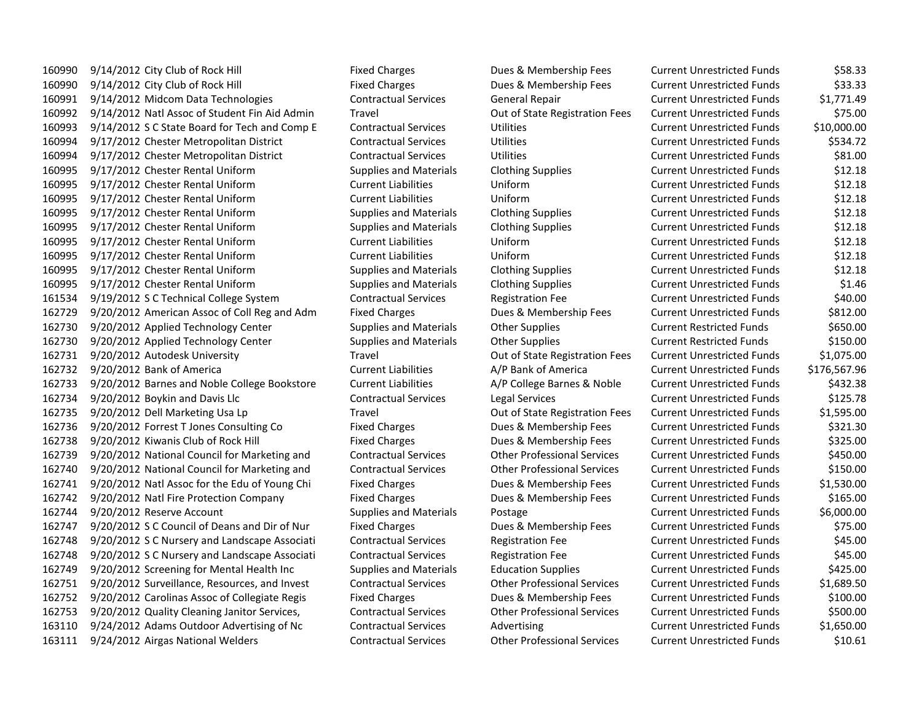9/14/2012 City Club of Rock Hill Fixed Charges Dues & Membership Fees Current Unrestricted Funds \$58.33 9/14/2012 City Club of Rock Hill Fixed Charges Dues & Membership Fees Current Unrestricted Funds \$33.33 9/14/2012 Midcom Data Technologies Contractual Services General Repair Current Unrestricted Funds \$1,771.49 9/14/2012 Natl Assoc of Student Fin Aid Admin Travel Out of State Registration Fees Current Unrestricted Funds \$75.00 9/14/2012 S C State Board for Tech and Comp E Contractual Services Utilities Current Unrestricted Funds \$10,000.00 9/17/2012 Chester Metropolitan District Contractual Services Utilities Current Unrestricted Funds \$534.72 9/17/2012 Chester Metropolitan District Contractual Services Utilities Current Unrestricted Funds \$81.00 9/17/2012 Chester Rental Uniform Supplies and Materials Clothing Supplies Current Unrestricted Funds \$12.18 9/17/2012 Chester Rental Uniform Current Liabilities Uniform Current Unrestricted Funds \$12.18 9/17/2012 Chester Rental Uniform Current Liabilities Uniform Current Unrestricted Funds \$12.18 9/17/2012 Chester Rental Uniform Supplies and Materials Clothing Supplies Current Unrestricted Funds \$12.18 9/17/2012 Chester Rental Uniform Supplies and Materials Clothing Supplies Current Unrestricted Funds \$12.18 9/17/2012 Chester Rental Uniform Current Liabilities Uniform Current Unrestricted Funds \$12.18 9/17/2012 Chester Rental Uniform Current Liabilities Uniform Current Unrestricted Funds \$12.18 9/17/2012 Chester Rental Uniform Supplies and Materials Clothing Supplies Current Unrestricted Funds \$12.18 9/17/2012 Chester Rental Uniform Supplies and Materials Clothing Supplies Current Unrestricted Funds \$1.46 9/19/2012 S C Technical College System Contractual Services Registration Fee Current Unrestricted Funds \$40.00 9/20/2012 American Assoc of Coll Reg and Adm Fixed Charges Dues & Membership Fees Current Unrestricted Funds \$812.00 9/20/2012 Applied Technology Center Supplies and Materials Other Supplies Current Restricted Funds \$650.00 9/20/2012 Applied Technology Center Supplies and Materials Other Supplies Current Restricted Funds \$150.00 9/20/2012 Autodesk University Travel Out of State Registration Fees Current Unrestricted Funds \$1,075.00 9/20/2012 Bank of America Current Liabilities A/P Bank of America Current Unrestricted Funds \$176,567.96 9/20/2012 Barnes and Noble College Bookstore Current Liabilities A/P College Barnes & Noble Current Unrestricted Funds \$432.38 9/20/2012 Boykin and Davis Llc Contractual Services Legal Services Current Unrestricted Funds \$125.78 9/20/2012 Dell Marketing Usa Lp Travel Out of State Registration Fees Current Unrestricted Funds \$1,595.00 9/20/2012 Forrest T Jones Consulting Co Fixed Charges Dues & Membership Fees Current Unrestricted Funds \$321.30 9/20/2012 Kiwanis Club of Rock Hill Fixed Charges Dues & Membership Fees Current Unrestricted Funds \$325.00 9/20/2012 National Council for Marketing and Contractual Services Other Professional Services Current Unrestricted Funds \$450.00 9/20/2012 National Council for Marketing and Contractual Services Other Professional Services Current Unrestricted Funds \$150.00 9/20/2012 Natl Assoc for the Edu of Young Chi Fixed Charges Dues & Membership Fees Current Unrestricted Funds \$1,530.00 9/20/2012 Natl Fire Protection Company Fixed Charges Dues & Membership Fees Current Unrestricted Funds \$165.00 9/20/2012 Reserve Account Supplies and Materials Postage Current Unrestricted Funds \$6,000.00 9/20/2012 S C Council of Deans and Dir of Nur Fixed Charges Dues & Membership Fees Current Unrestricted Funds \$75.00 9/20/2012 S C Nursery and Landscape Associati Contractual Services Registration Fee Current Unrestricted Funds \$45.00 9/20/2012 S C Nursery and Landscape Associati Contractual Services Registration Fee Current Unrestricted Funds \$45.00 9/20/2012 Screening for Mental Health Inc Supplies and Materials Education Supplies Current Unrestricted Funds \$425.00 9/20/2012 Surveillance, Resources, and Invest Contractual Services Other Professional Services Current Unrestricted Funds \$1,689.50 9/20/2012 Carolinas Assoc of Collegiate Regis Fixed Charges Dues & Membership Fees Current Unrestricted Funds \$100.00 9/20/2012 Quality Cleaning Janitor Services, Contractual Services Other Professional Services Current Unrestricted Funds \$500.00 9/24/2012 Adams Outdoor Advertising of Nc Contractual Services Advertising Current Unrestricted Funds \$1,650.00 9/24/2012 Airgas National Welders Contractual Services Other Professional Services Current Unrestricted Funds \$10.61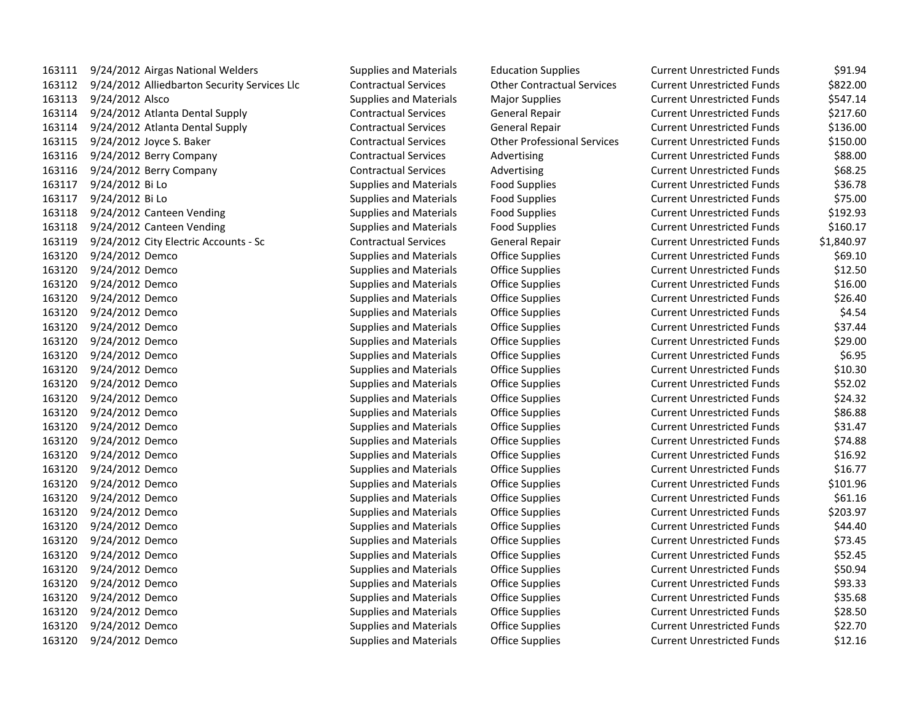| 163111 |                 | 9/24/2012 Airgas National Weld  |
|--------|-----------------|---------------------------------|
| 163112 |                 | 9/24/2012 Alliedbarton Securit  |
| 163113 | 9/24/2012 Alsco |                                 |
| 163114 |                 | 9/24/2012 Atlanta Dental Supp   |
| 163114 |                 | 9/24/2012 Atlanta Dental Supp   |
| 163115 |                 | 9/24/2012 Joyce S. Baker        |
| 163116 |                 | 9/24/2012 Berry Company         |
| 163116 |                 | 9/24/2012 Berry Company         |
| 163117 | 9/24/2012 Bi Lo |                                 |
| 163117 | 9/24/2012 Bi Lo |                                 |
| 163118 |                 | 9/24/2012 Canteen Vending       |
| 163118 |                 | 9/24/2012 Canteen Vending       |
| 163119 |                 | 9/24/2012 City Electric Account |
| 163120 | 9/24/2012       | Demco                           |
| 163120 | 9/24/2012       | Demco                           |
| 163120 | 9/24/2012       | Demco                           |
| 163120 | 9/24/2012       | Demco                           |
| 163120 | 9/24/2012 Demco |                                 |
| 163120 | 9/24/2012       | Demco                           |
| 163120 | 9/24/2012       | Demco                           |
| 163120 | 9/24/2012       | Demco                           |
| 163120 | 9/24/2012       | Demco                           |
| 163120 | 9/24/2012       | Demco                           |
| 163120 | 9/24/2012       | Demco                           |
| 163120 | 9/24/2012       | Demco                           |
| 163120 | 9/24/2012       | Demco                           |
| 163120 | 9/24/2012       | Demco                           |
| 163120 | 9/24/2012       | Demco                           |
| 163120 | 9/24/2012       | Demco                           |
| 163120 | 9/24/2012       | Demco                           |
| 163120 | 9/24/2012       | Demco                           |
| 163120 | 9/24/2012       | Demco                           |
| 163120 | 9/24/2012       | Demco                           |
| 163120 | 9/24/2012       | Demco                           |
| 163120 | 9/24/2012       | Demco                           |
| 163120 | 9/24/2012       | Demco                           |
| 163120 | 9/24/2012       | Demco                           |
| 163120 | 9/24/2012       | Demco                           |
| 163120 | 9/24/2012       | Demco                           |
| 163120 | 9/24/2012       | Demco                           |
| 163120 | 9/24/2012       | Demco                           |

| 163111 | 9/24/2012 Airgas National Welders            | <b>Supplies and Materials</b> | <b>Education Supplies</b>          | <b>Current Unrestricted Funds</b> | \$91.94    |
|--------|----------------------------------------------|-------------------------------|------------------------------------|-----------------------------------|------------|
| 163112 | 9/24/2012 Alliedbarton Security Services Llc | <b>Contractual Services</b>   | <b>Other Contractual Services</b>  | <b>Current Unrestricted Funds</b> | \$822.00   |
| 163113 | 9/24/2012 Alsco                              | <b>Supplies and Materials</b> | <b>Major Supplies</b>              | <b>Current Unrestricted Funds</b> | \$547.14   |
| 163114 | 9/24/2012 Atlanta Dental Supply              | <b>Contractual Services</b>   | General Repair                     | <b>Current Unrestricted Funds</b> | \$217.60   |
| 163114 | 9/24/2012 Atlanta Dental Supply              | <b>Contractual Services</b>   | General Repair                     | <b>Current Unrestricted Funds</b> | \$136.00   |
| 163115 | 9/24/2012 Joyce S. Baker                     | <b>Contractual Services</b>   | <b>Other Professional Services</b> | <b>Current Unrestricted Funds</b> | \$150.00   |
| 163116 | 9/24/2012 Berry Company                      | <b>Contractual Services</b>   | Advertising                        | <b>Current Unrestricted Funds</b> | \$88.00    |
| 163116 | 9/24/2012 Berry Company                      | <b>Contractual Services</b>   | Advertising                        | <b>Current Unrestricted Funds</b> | \$68.25    |
| 163117 | 9/24/2012 Bi Lo                              | <b>Supplies and Materials</b> | <b>Food Supplies</b>               | <b>Current Unrestricted Funds</b> | \$36.78    |
| 163117 | 9/24/2012 Bi Lo                              | <b>Supplies and Materials</b> | <b>Food Supplies</b>               | <b>Current Unrestricted Funds</b> | \$75.00    |
| 163118 | 9/24/2012 Canteen Vending                    | <b>Supplies and Materials</b> | <b>Food Supplies</b>               | <b>Current Unrestricted Funds</b> | \$192.93   |
| 163118 | 9/24/2012 Canteen Vending                    | <b>Supplies and Materials</b> | <b>Food Supplies</b>               | <b>Current Unrestricted Funds</b> | \$160.17   |
| 163119 | 9/24/2012 City Electric Accounts - Sc        | <b>Contractual Services</b>   | General Repair                     | <b>Current Unrestricted Funds</b> | \$1,840.97 |
| 163120 | 9/24/2012 Demco                              | <b>Supplies and Materials</b> | <b>Office Supplies</b>             | <b>Current Unrestricted Funds</b> | \$69.10    |
| 163120 | 9/24/2012 Demco                              | <b>Supplies and Materials</b> | <b>Office Supplies</b>             | <b>Current Unrestricted Funds</b> | \$12.50    |
| 163120 | 9/24/2012 Demco                              | <b>Supplies and Materials</b> | <b>Office Supplies</b>             | <b>Current Unrestricted Funds</b> | \$16.00    |
| 163120 | 9/24/2012 Demco                              | <b>Supplies and Materials</b> | <b>Office Supplies</b>             | <b>Current Unrestricted Funds</b> | \$26.40    |
| 163120 | 9/24/2012 Demco                              | <b>Supplies and Materials</b> | <b>Office Supplies</b>             | <b>Current Unrestricted Funds</b> | \$4.54     |
| 163120 | 9/24/2012 Demco                              | <b>Supplies and Materials</b> | <b>Office Supplies</b>             | <b>Current Unrestricted Funds</b> | \$37.44    |
| 163120 | 9/24/2012 Demco                              | <b>Supplies and Materials</b> | <b>Office Supplies</b>             | <b>Current Unrestricted Funds</b> | \$29.00    |
| 163120 | 9/24/2012 Demco                              | <b>Supplies and Materials</b> | <b>Office Supplies</b>             | <b>Current Unrestricted Funds</b> | \$6.95     |
| 163120 | 9/24/2012 Demco                              | <b>Supplies and Materials</b> | <b>Office Supplies</b>             | <b>Current Unrestricted Funds</b> | \$10.30    |
| 163120 | 9/24/2012 Demco                              | <b>Supplies and Materials</b> | <b>Office Supplies</b>             | <b>Current Unrestricted Funds</b> | \$52.02    |
| 163120 | 9/24/2012 Demco                              | <b>Supplies and Materials</b> | <b>Office Supplies</b>             | <b>Current Unrestricted Funds</b> | \$24.32    |
| 163120 | 9/24/2012 Demco                              | <b>Supplies and Materials</b> | Office Supplies                    | <b>Current Unrestricted Funds</b> | \$86.88    |
| 163120 | 9/24/2012 Demco                              | <b>Supplies and Materials</b> | <b>Office Supplies</b>             | <b>Current Unrestricted Funds</b> | \$31.47    |
| 163120 | 9/24/2012 Demco                              | <b>Supplies and Materials</b> | <b>Office Supplies</b>             | <b>Current Unrestricted Funds</b> | \$74.88    |
| 163120 | 9/24/2012 Demco                              | <b>Supplies and Materials</b> | <b>Office Supplies</b>             | <b>Current Unrestricted Funds</b> | \$16.92    |
| 163120 | 9/24/2012 Demco                              | <b>Supplies and Materials</b> | <b>Office Supplies</b>             | <b>Current Unrestricted Funds</b> | \$16.77    |
| 163120 | 9/24/2012 Demco                              | <b>Supplies and Materials</b> | <b>Office Supplies</b>             | <b>Current Unrestricted Funds</b> | \$101.96   |
| 163120 | 9/24/2012 Demco                              | <b>Supplies and Materials</b> | <b>Office Supplies</b>             | <b>Current Unrestricted Funds</b> | \$61.16    |
| 163120 | 9/24/2012 Demco                              | <b>Supplies and Materials</b> | <b>Office Supplies</b>             | <b>Current Unrestricted Funds</b> | \$203.97   |
| 163120 | 9/24/2012 Demco                              | <b>Supplies and Materials</b> | <b>Office Supplies</b>             | <b>Current Unrestricted Funds</b> | \$44.40    |
| 163120 | 9/24/2012 Demco                              | <b>Supplies and Materials</b> | <b>Office Supplies</b>             | <b>Current Unrestricted Funds</b> | \$73.45    |
| 163120 | 9/24/2012 Demco                              | <b>Supplies and Materials</b> | <b>Office Supplies</b>             | <b>Current Unrestricted Funds</b> | \$52.45    |
| 163120 | 9/24/2012 Demco                              | <b>Supplies and Materials</b> | <b>Office Supplies</b>             | <b>Current Unrestricted Funds</b> | \$50.94    |
| 163120 | 9/24/2012 Demco                              | <b>Supplies and Materials</b> | <b>Office Supplies</b>             | <b>Current Unrestricted Funds</b> | \$93.33    |
| 163120 | 9/24/2012 Demco                              | <b>Supplies and Materials</b> | <b>Office Supplies</b>             | <b>Current Unrestricted Funds</b> | \$35.68    |
| 163120 | 9/24/2012 Demco                              | <b>Supplies and Materials</b> | <b>Office Supplies</b>             | <b>Current Unrestricted Funds</b> | \$28.50    |
| 163120 | 9/24/2012 Demco                              | <b>Supplies and Materials</b> | <b>Office Supplies</b>             | <b>Current Unrestricted Funds</b> | \$22.70    |
| 163120 | 9/24/2012 Demco                              | <b>Supplies and Materials</b> | <b>Office Supplies</b>             | <b>Current Unrestricted Funds</b> | \$12.16    |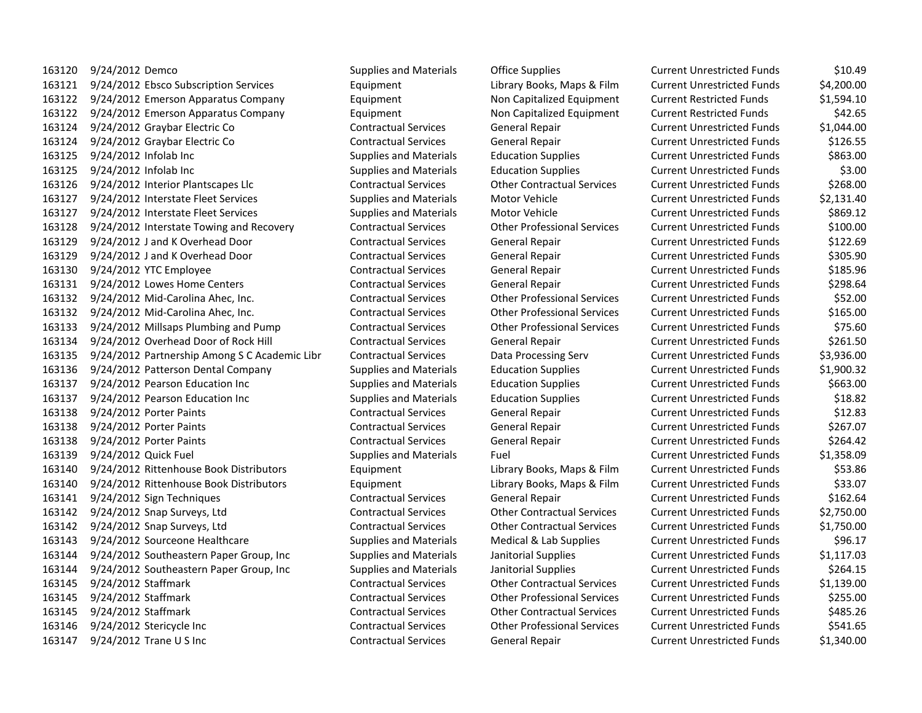9/24/2012 Demco Supplies and Materials Office Supplies Current Unrestricted Funds \$10.49 9/24/2012 Ebsco Subscription Services Equipment Library Books, Maps & Film Current Unrestricted Funds \$4,200.00 9/24/2012 Emerson Apparatus Company Equipment Non Capitalized Equipment Current Restricted Funds \$1,594.10 9/24/2012 Emerson Apparatus Company Equipment Non Capitalized Equipment Current Restricted Funds \$42.65 9/24/2012 Graybar Electric Co Contractual Services General Repair Current Unrestricted Funds \$1,044.00 9/24/2012 Graybar Electric Co Contractual Services General Repair Current Unrestricted Funds \$126.55 9/24/2012 Infolab Inc Supplies and Materials Education Supplies Current Unrestricted Funds \$863.00 9/24/2012 Infolab Inc Supplies and Materials Education Supplies Current Unrestricted Funds \$3.00 9/24/2012 Interior Plantscapes Llc Contractual Services Other Contractual Services Current Unrestricted Funds \$268.00 9/24/2012 Interstate Fleet Services Supplies and Materials Motor Vehicle Current Unrestricted Funds \$2,131.40 9/24/2012 Interstate Fleet Services Supplies and Materials Motor Vehicle Current Unrestricted Funds \$869.12 9/24/2012 Interstate Towing and Recovery Contractual Services Other Professional Services Current Unrestricted Funds \$100.00 9/24/2012 J and K Overhead Door Contractual Services General Repair Current Unrestricted Funds \$122.69 9/24/2012 J and K Overhead Door Contractual Services General Repair Current Unrestricted Funds \$305.90 9/24/2012 YTC Employee Contractual Services General Repair Current Unrestricted Funds \$185.96 9/24/2012 Lowes Home Centers Contractual Services General Repair Current Unrestricted Funds \$298.64 9/24/2012 Mid-Carolina Ahec, Inc. Contractual Services Other Professional Services Current Unrestricted Funds \$52.00 9/24/2012 Mid-Carolina Ahec, Inc. Contractual Services Other Professional Services Current Unrestricted Funds \$165.00 9/24/2012 Millsaps Plumbing and Pump Contractual Services Other Professional Services Current Unrestricted Funds \$75.60 9/24/2012 Overhead Door of Rock Hill Contractual Services General Repair Current Unrestricted Funds \$261.50 9/24/2012 Partnership Among S C Academic Libr Contractual Services Data Processing Serv Current Unrestricted Funds \$3,936.00 9/24/2012 Patterson Dental Company Supplies and Materials Education Supplies Current Unrestricted Funds \$1,900.32 9/24/2012 Pearson Education Inc Supplies and Materials Education Supplies Current Unrestricted Funds \$663.00 9/24/2012 Pearson Education Inc Supplies and Materials Education Supplies Current Unrestricted Funds \$18.82 9/24/2012 Porter Paints Contractual Services General Repair Current Unrestricted Funds \$12.83 9/24/2012 Porter Paints Contractual Services General Repair Current Unrestricted Funds \$267.07 9/24/2012 Porter Paints Contractual Services General Repair Current Unrestricted Funds \$264.42 9/24/2012 Quick Fuel Supplies and Materials Fuel Current Unrestricted Funds \$1,358.09 9/24/2012 Rittenhouse Book Distributors Equipment Library Books, Maps & Film Current Unrestricted Funds \$53.86 9/24/2012 Rittenhouse Book Distributors Equipment Library Books, Maps & Film Current Unrestricted Funds \$33.07 9/24/2012 Sign Techniques Contractual Services General Repair Current Unrestricted Funds \$162.64 9/24/2012 Snap Surveys, Ltd Contractual Services Other Contractual Services Current Unrestricted Funds \$2,750.00 9/24/2012 Snap Surveys, Ltd Contractual Services Other Contractual Services Current Unrestricted Funds \$1,750.00 9/24/2012 Sourceone Healthcare Supplies and Materials Medical & Lab Supplies Current Unrestricted Funds \$96.17 9/24/2012 Southeastern Paper Group, Inc Supplies and Materials Janitorial Supplies Current Unrestricted Funds \$1,117.03 9/24/2012 Southeastern Paper Group, Inc Supplies and Materials Janitorial Supplies Current Unrestricted Funds \$264.15 9/24/2012 Staffmark Contractual Services Other Contractual Services Current Unrestricted Funds \$1,139.00 9/24/2012 Staffmark Contractual Services Other Professional Services Current Unrestricted Funds \$255.00 9/24/2012 Staffmark Contractual Services Other Contractual Services Current Unrestricted Funds \$485.26 9/24/2012 Stericycle Inc Contractual Services Other Professional Services Current Unrestricted Funds \$541.65

9/24/2012 Trane U S Inc Contractual Services General Repair Current Unrestricted Funds \$1,340.00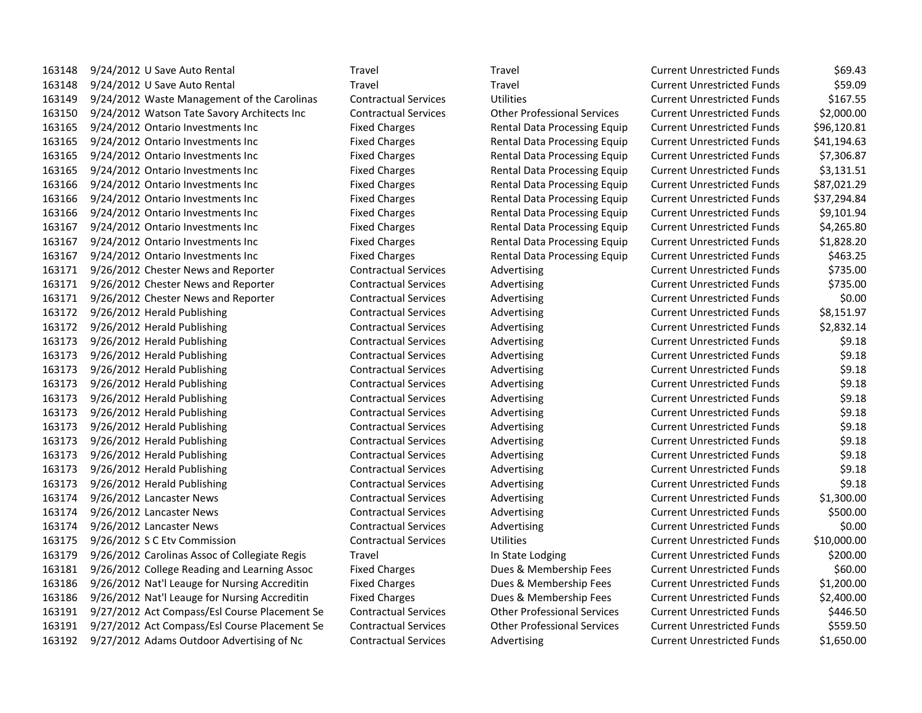9/24/2012 U Save Auto Rental Travel Travel Current Unrestricted Funds \$69.43 9/24/2012 U Save Auto Rental Travel Travel Current Unrestricted Funds \$59.09 9/24/2012 Waste Management of the Carolinas Contractual Services Utilities Current Unrestricted Funds \$167.55 9/24/2012 Watson Tate Savory Architects Inc Contractual Services Other Professional Services Current Unrestricted Funds \$2,000.00 9/24/2012 Ontario Investments Inc Fixed Charges Rental Data Processing Equip Current Unrestricted Funds \$96,120.81 9/24/2012 Ontario Investments Inc Fixed Charges Rental Data Processing Equip Current Unrestricted Funds \$41,194.63 9/24/2012 Ontario Investments Inc Fixed Charges Rental Data Processing Equip Current Unrestricted Funds \$7,306.87 9/24/2012 Ontario Investments Inc Fixed Charges Rental Data Processing Equip Current Unrestricted Funds \$3,131.51 9/24/2012 Ontario Investments Inc Fixed Charges Rental Data Processing Equip Current Unrestricted Funds \$87,021.29 9/24/2012 Ontario Investments Inc Fixed Charges Rental Data Processing Equip Current Unrestricted Funds \$37,294.84 9/24/2012 Ontario Investments Inc Fixed Charges Rental Data Processing Equip Current Unrestricted Funds \$9,101.94 9/24/2012 Ontario Investments Inc Fixed Charges Rental Data Processing Equip Current Unrestricted Funds \$4,265.80 9/24/2012 Ontario Investments Inc Fixed Charges Rental Data Processing Equip Current Unrestricted Funds \$1,828.20 9/24/2012 Ontario Investments Inc Fixed Charges Rental Data Processing Equip Current Unrestricted Funds \$463.25 9/26/2012 Chester News and Reporter Contractual Services Advertising Current Unrestricted Funds \$735.00 9/26/2012 Chester News and Reporter Contractual Services Advertising Current Unrestricted Funds \$735.00 9/26/2012 Chester News and Reporter Contractual Services Advertising Current Unrestricted Funds \$0.00 9/26/2012 Herald Publishing Contractual Services Advertising Current Unrestricted Funds \$8,151.97 9/26/2012 Herald Publishing Contractual Services Advertising Current Unrestricted Funds \$2,832.14 9/26/2012 Herald Publishing Contractual Services Advertising Current Unrestricted Funds \$9.18 9/26/2012 Herald Publishing Contractual Services Advertising Current Unrestricted Funds \$9.18 9/26/2012 Herald Publishing Contractual Services Advertising Current Unrestricted Funds \$9.18 9/26/2012 Herald Publishing Contractual Services Advertising Current Unrestricted Funds \$9.18 9/26/2012 Herald Publishing Contractual Services Advertising Current Unrestricted Funds \$9.18 9/26/2012 Herald Publishing Contractual Services Advertising Current Unrestricted Funds \$9.18 9/26/2012 Herald Publishing Contractual Services Advertising Current Unrestricted Funds \$9.18 9/26/2012 Herald Publishing Contractual Services Advertising Current Unrestricted Funds \$9.18 9/26/2012 Herald Publishing Contractual Services Advertising Current Unrestricted Funds \$9.18 9/26/2012 Herald Publishing Contractual Services Advertising Current Unrestricted Funds \$9.18 9/26/2012 Herald Publishing Contractual Services Advertising Current Unrestricted Funds \$9.18 9/26/2012 Lancaster News Contractual Services Advertising Current Unrestricted Funds \$1,300.00 9/26/2012 Lancaster News Contractual Services Advertising Current Unrestricted Funds \$500.00 9/26/2012 Lancaster News Contractual Services Advertising Current Unrestricted Funds \$0.00 9/26/2012 S C Etv Commission Contractual Services Utilities Current Unrestricted Funds \$10,000.00 9/26/2012 Carolinas Assoc of Collegiate Regis Travel In State Lodging Current Unrestricted Funds \$200.00 9/26/2012 College Reading and Learning Assoc Fixed Charges Dues & Membership Fees Current Unrestricted Funds \$60.00 9/26/2012 Nat'l Leauge for Nursing Accreditin Fixed Charges Dues & Membership Fees Current Unrestricted Funds \$1,200.00 9/26/2012 Nat'l Leauge for Nursing Accreditin Fixed Charges Dues & Membership Fees Current Unrestricted Funds \$2,400.00 9/27/2012 Act Compass/Esl Course Placement Se Contractual Services Other Professional Services Current Unrestricted Funds \$446.50 9/27/2012 Act Compass/Esl Course Placement Se Contractual Services Other Professional Services Current Unrestricted Funds \$559.50 9/27/2012 Adams Outdoor Advertising of Nc Contractual Services Advertising Current Unrestricted Funds \$1,650.00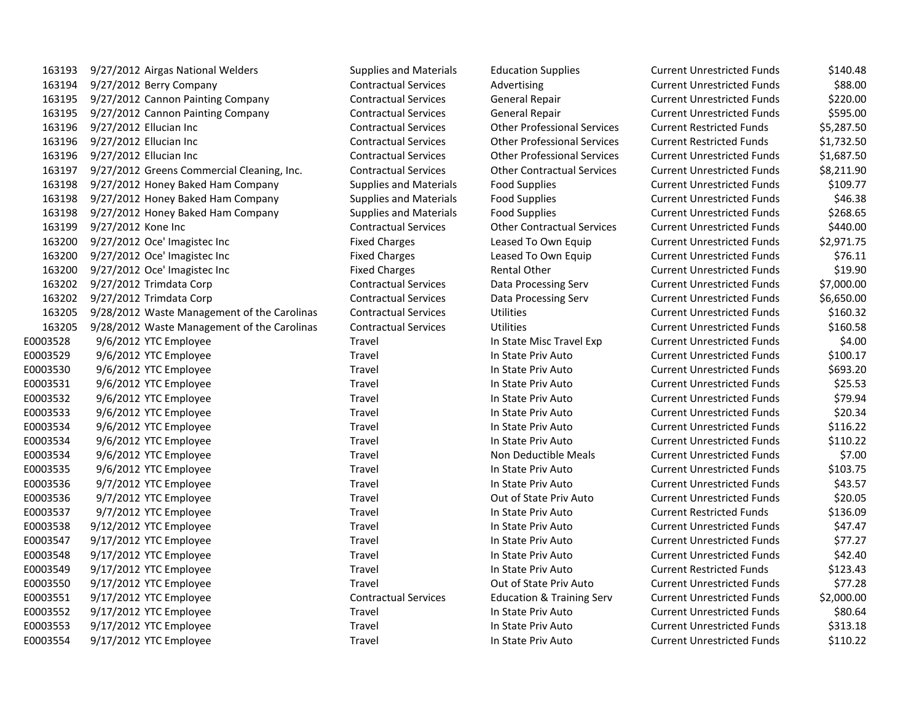| 163193   | 9/27/2012 Airgas National Welders           | Supplies and Materials        | <b>Education Supplies</b>            | <b>Current Unrestricted Funds</b> | \$140.48   |
|----------|---------------------------------------------|-------------------------------|--------------------------------------|-----------------------------------|------------|
| 163194   | 9/27/2012 Berry Company                     | <b>Contractual Services</b>   | Advertising                          | <b>Current Unrestricted Funds</b> | \$88.00    |
| 163195   | 9/27/2012 Cannon Painting Company           | <b>Contractual Services</b>   | <b>General Repair</b>                | <b>Current Unrestricted Funds</b> | \$220.00   |
| 163195   | 9/27/2012 Cannon Painting Company           | <b>Contractual Services</b>   | General Repair                       | <b>Current Unrestricted Funds</b> | \$595.00   |
| 163196   | 9/27/2012 Ellucian Inc                      | <b>Contractual Services</b>   | <b>Other Professional Services</b>   | <b>Current Restricted Funds</b>   | \$5,287.50 |
| 163196   | 9/27/2012 Ellucian Inc                      | <b>Contractual Services</b>   | <b>Other Professional Services</b>   | <b>Current Restricted Funds</b>   | \$1,732.50 |
| 163196   | 9/27/2012 Ellucian Inc                      | <b>Contractual Services</b>   | <b>Other Professional Services</b>   | <b>Current Unrestricted Funds</b> | \$1,687.50 |
| 163197   | 9/27/2012 Greens Commercial Cleaning, Inc.  | <b>Contractual Services</b>   | <b>Other Contractual Services</b>    | <b>Current Unrestricted Funds</b> | \$8,211.90 |
| 163198   | 9/27/2012 Honey Baked Ham Company           | <b>Supplies and Materials</b> | <b>Food Supplies</b>                 | <b>Current Unrestricted Funds</b> | \$109.77   |
| 163198   | 9/27/2012 Honey Baked Ham Company           | <b>Supplies and Materials</b> | <b>Food Supplies</b>                 | <b>Current Unrestricted Funds</b> | \$46.38    |
| 163198   | 9/27/2012 Honey Baked Ham Company           | <b>Supplies and Materials</b> | <b>Food Supplies</b>                 | <b>Current Unrestricted Funds</b> | \$268.65   |
| 163199   | 9/27/2012 Kone Inc                          | <b>Contractual Services</b>   | <b>Other Contractual Services</b>    | <b>Current Unrestricted Funds</b> | \$440.00   |
| 163200   | 9/27/2012 Oce' Imagistec Inc                | <b>Fixed Charges</b>          | Leased To Own Equip                  | <b>Current Unrestricted Funds</b> | \$2,971.75 |
| 163200   | 9/27/2012 Oce' Imagistec Inc                | <b>Fixed Charges</b>          | Leased To Own Equip                  | <b>Current Unrestricted Funds</b> | \$76.11    |
| 163200   | 9/27/2012 Oce' Imagistec Inc                | <b>Fixed Charges</b>          | <b>Rental Other</b>                  | <b>Current Unrestricted Funds</b> | \$19.90    |
| 163202   | 9/27/2012 Trimdata Corp                     | <b>Contractual Services</b>   | Data Processing Serv                 | <b>Current Unrestricted Funds</b> | \$7,000.00 |
| 163202   | 9/27/2012 Trimdata Corp                     | <b>Contractual Services</b>   | Data Processing Serv                 | <b>Current Unrestricted Funds</b> | \$6,650.00 |
| 163205   | 9/28/2012 Waste Management of the Carolinas | <b>Contractual Services</b>   | <b>Utilities</b>                     | <b>Current Unrestricted Funds</b> | \$160.32   |
| 163205   | 9/28/2012 Waste Management of the Carolinas | <b>Contractual Services</b>   | <b>Utilities</b>                     | <b>Current Unrestricted Funds</b> | \$160.58   |
| E0003528 | 9/6/2012 YTC Employee                       | Travel                        | In State Misc Travel Exp             | <b>Current Unrestricted Funds</b> | \$4.00     |
| E0003529 | 9/6/2012 YTC Employee                       | Travel                        | In State Priv Auto                   | <b>Current Unrestricted Funds</b> | \$100.17   |
| E0003530 | 9/6/2012 YTC Employee                       | Travel                        | In State Priv Auto                   | <b>Current Unrestricted Funds</b> | \$693.20   |
| E0003531 | 9/6/2012 YTC Employee                       | Travel                        | In State Priv Auto                   | <b>Current Unrestricted Funds</b> | \$25.53    |
| E0003532 | 9/6/2012 YTC Employee                       | Travel                        | In State Priv Auto                   | <b>Current Unrestricted Funds</b> | \$79.94    |
| E0003533 | 9/6/2012 YTC Employee                       | Travel                        | In State Priv Auto                   | <b>Current Unrestricted Funds</b> | \$20.34    |
| E0003534 | 9/6/2012 YTC Employee                       | Travel                        | In State Priv Auto                   | <b>Current Unrestricted Funds</b> | \$116.22   |
| E0003534 | 9/6/2012 YTC Employee                       | Travel                        | In State Priv Auto                   | <b>Current Unrestricted Funds</b> | \$110.22   |
| E0003534 | 9/6/2012 YTC Employee                       | Travel                        | Non Deductible Meals                 | <b>Current Unrestricted Funds</b> | \$7.00     |
| E0003535 | 9/6/2012 YTC Employee                       | Travel                        | In State Priv Auto                   | <b>Current Unrestricted Funds</b> | \$103.75   |
| E0003536 | 9/7/2012 YTC Employee                       | Travel                        | In State Priv Auto                   | <b>Current Unrestricted Funds</b> | \$43.57    |
| E0003536 | 9/7/2012 YTC Employee                       | Travel                        | Out of State Priv Auto               | <b>Current Unrestricted Funds</b> | \$20.05    |
| E0003537 | 9/7/2012 YTC Employee                       | Travel                        | In State Priv Auto                   | <b>Current Restricted Funds</b>   | \$136.09   |
| E0003538 | 9/12/2012 YTC Employee                      | Travel                        | In State Priv Auto                   | <b>Current Unrestricted Funds</b> | \$47.47    |
| E0003547 | 9/17/2012 YTC Employee                      | Travel                        | In State Priv Auto                   | <b>Current Unrestricted Funds</b> | \$77.27    |
| E0003548 | 9/17/2012 YTC Employee                      | Travel                        | In State Priv Auto                   | <b>Current Unrestricted Funds</b> | \$42.40    |
| E0003549 | 9/17/2012 YTC Employee                      | Travel                        | In State Priv Auto                   | <b>Current Restricted Funds</b>   | \$123.43   |
| E0003550 | 9/17/2012 YTC Employee                      | Travel                        | Out of State Priv Auto               | <b>Current Unrestricted Funds</b> | \$77.28    |
| E0003551 | 9/17/2012 YTC Employee                      | <b>Contractual Services</b>   | <b>Education &amp; Training Serv</b> | <b>Current Unrestricted Funds</b> | \$2,000.00 |
| E0003552 | 9/17/2012 YTC Employee                      | Travel                        | In State Priv Auto                   | <b>Current Unrestricted Funds</b> | \$80.64    |
| E0003553 | 9/17/2012 YTC Employee                      | Travel                        | In State Priv Auto                   | <b>Current Unrestricted Funds</b> | \$313.18   |
| E0003554 | 9/17/2012 YTC Employee                      | Travel                        | In State Priv Auto                   | <b>Current Unrestricted Funds</b> | \$110.22   |